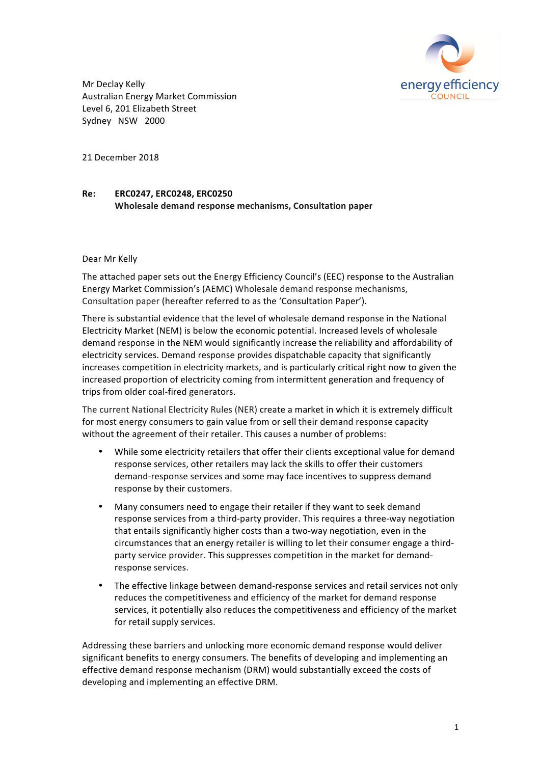

Mr Declay Kelly Australian Energy Market Commission Level 6, 201 Elizabeth Street Sydney NSW 2000

21 December 2018

#### **Re: ERC0247, ERC0248, ERC0250 Wholesale demand response mechanisms, Consultation paper**

#### Dear Mr Kelly

The attached paper sets out the Energy Efficiency Council's (EEC) response to the Australian Energy Market Commission's (AEMC) Wholesale demand response mechanisms, Consultation paper (hereafter referred to as the 'Consultation Paper').

There is substantial evidence that the level of wholesale demand response in the National Electricity Market (NEM) is below the economic potential. Increased levels of wholesale demand response in the NEM would significantly increase the reliability and affordability of electricity services. Demand response provides dispatchable capacity that significantly increases competition in electricity markets, and is particularly critical right now to given the increased proportion of electricity coming from intermittent generation and frequency of trips from older coal-fired generators.

The current National Electricity Rules (NER) create a market in which it is extremely difficult for most energy consumers to gain value from or sell their demand response capacity without the agreement of their retailer. This causes a number of problems:

- While some electricity retailers that offer their clients exceptional value for demand response services, other retailers may lack the skills to offer their customers demand-response services and some may face incentives to suppress demand response by their customers.
- Many consumers need to engage their retailer if they want to seek demand response services from a third-party provider. This requires a three-way negotiation that entails significantly higher costs than a two-way negotiation, even in the circumstances that an energy retailer is willing to let their consumer engage a thirdparty service provider. This suppresses competition in the market for demandresponse services.
- The effective linkage between demand-response services and retail services not only reduces the competitiveness and efficiency of the market for demand response services, it potentially also reduces the competitiveness and efficiency of the market for retail supply services.

Addressing these barriers and unlocking more economic demand response would deliver significant benefits to energy consumers. The benefits of developing and implementing an effective demand response mechanism (DRM) would substantially exceed the costs of developing and implementing an effective DRM.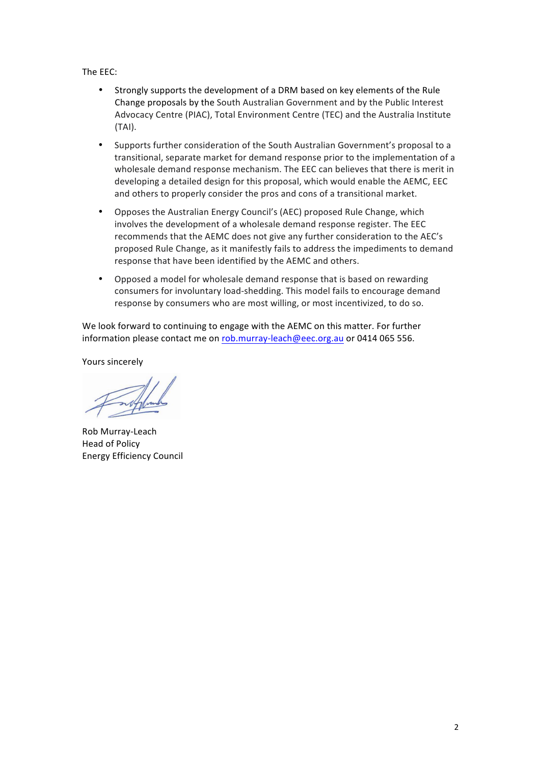The EEC:

- Strongly supports the development of a DRM based on key elements of the Rule Change proposals by the South Australian Government and by the Public Interest Advocacy Centre (PIAC), Total Environment Centre (TEC) and the Australia Institute (TAI).
- Supports further consideration of the South Australian Government's proposal to a transitional, separate market for demand response prior to the implementation of a wholesale demand response mechanism. The EEC can believes that there is merit in developing a detailed design for this proposal, which would enable the AEMC, EEC and others to properly consider the pros and cons of a transitional market.
- Opposes the Australian Energy Council's (AEC) proposed Rule Change, which involves the development of a wholesale demand response register. The EEC recommends that the AEMC does not give any further consideration to the AEC's proposed Rule Change, as it manifestly fails to address the impediments to demand response that have been identified by the AEMC and others.
- Opposed a model for wholesale demand response that is based on rewarding consumers for involuntary load-shedding. This model fails to encourage demand response by consumers who are most willing, or most incentivized, to do so.

We look forward to continuing to engage with the AEMC on this matter. For further information please contact me on rob.murray-leach@eec.org.au or 0414 065 556.

Yours sincerely

Rob Murray-Leach Head of Policy Energy Efficiency Council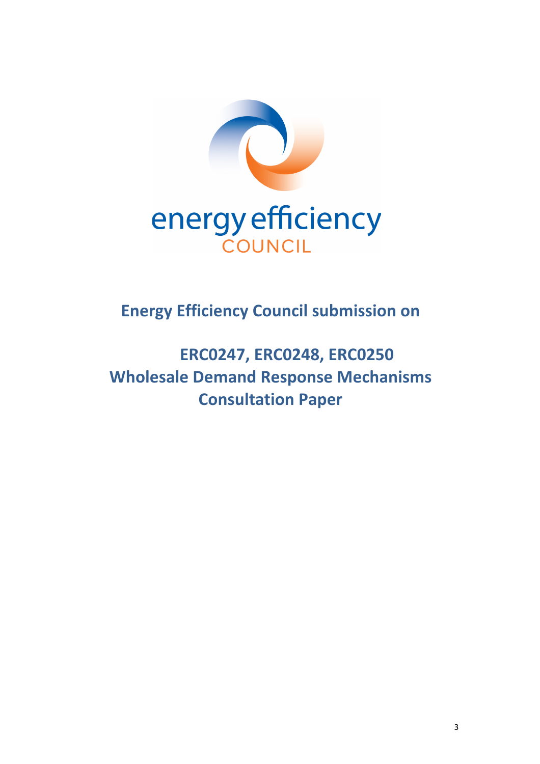

**Energy Efficiency Council submission on** 

**ERC0247, ERC0248, ERC0250 Wholesale Demand Response Mechanisms Consultation Paper**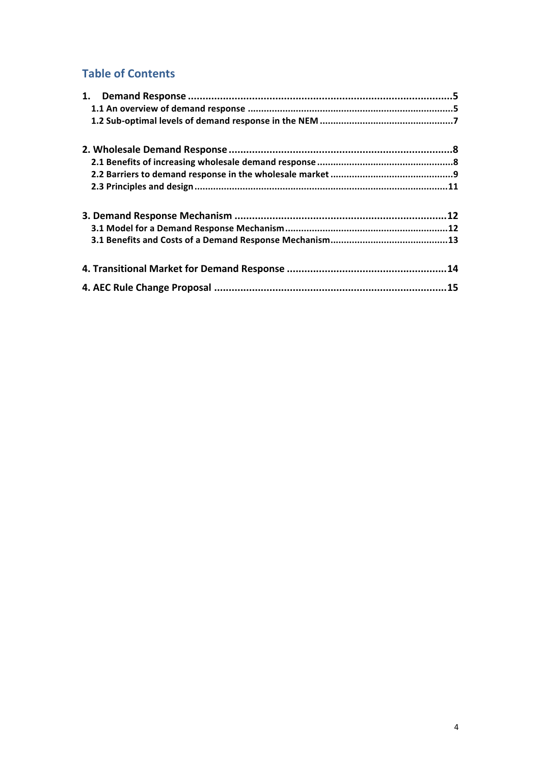### **Table of Contents**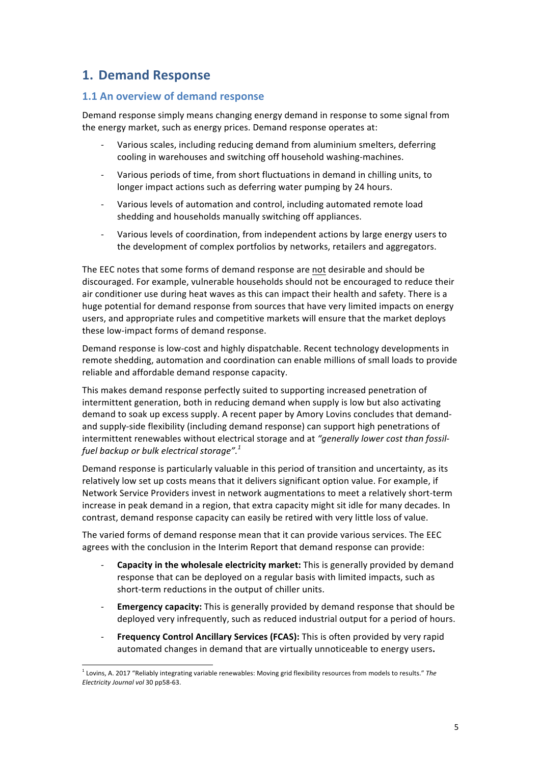# **1. Demand Response**

#### **1.1 An overview of demand response**

Demand response simply means changing energy demand in response to some signal from the energy market, such as energy prices. Demand response operates at:

- Various scales, including reducing demand from aluminium smelters, deferring cooling in warehouses and switching off household washing-machines.
- Various periods of time, from short fluctuations in demand in chilling units, to longer impact actions such as deferring water pumping by 24 hours.
- Various levels of automation and control, including automated remote load shedding and households manually switching off appliances.
- Various levels of coordination, from independent actions by large energy users to the development of complex portfolios by networks, retailers and aggregators.

The EEC notes that some forms of demand response are not desirable and should be discouraged. For example, vulnerable households should not be encouraged to reduce their air conditioner use during heat waves as this can impact their health and safety. There is a huge potential for demand response from sources that have very limited impacts on energy users, and appropriate rules and competitive markets will ensure that the market deploys these low-impact forms of demand response.

Demand response is low-cost and highly dispatchable. Recent technology developments in remote shedding, automation and coordination can enable millions of small loads to provide reliable and affordable demand response capacity.

This makes demand response perfectly suited to supporting increased penetration of intermittent generation, both in reducing demand when supply is low but also activating demand to soak up excess supply. A recent paper by Amory Lovins concludes that demandand supply-side flexibility (including demand response) can support high penetrations of intermittent renewables without electrical storage and at "generally lower cost than fossil*fuel backup or bulk electrical storage".*<sup>1</sup>

Demand response is particularly valuable in this period of transition and uncertainty, as its relatively low set up costs means that it delivers significant option value. For example, if Network Service Providers invest in network augmentations to meet a relatively short-term increase in peak demand in a region, that extra capacity might sit idle for many decades. In contrast, demand response capacity can easily be retired with very little loss of value.

The varied forms of demand response mean that it can provide various services. The EEC agrees with the conclusion in the Interim Report that demand response can provide:

- **Capacity in the wholesale electricity market:** This is generally provided by demand response that can be deployed on a regular basis with limited impacts, such as short-term reductions in the output of chiller units.
- **Emergency capacity:** This is generally provided by demand response that should be deployed very infrequently, such as reduced industrial output for a period of hours.
- Frequency Control Ancillary Services (FCAS): This is often provided by very rapid automated changes in demand that are virtually unnoticeable to energy users.

 $1$  Lovins, A. 2017 "Reliably integrating variable renewables: Moving grid flexibility resources from models to results." The *Electricity Journal vol* 30 pp58-63.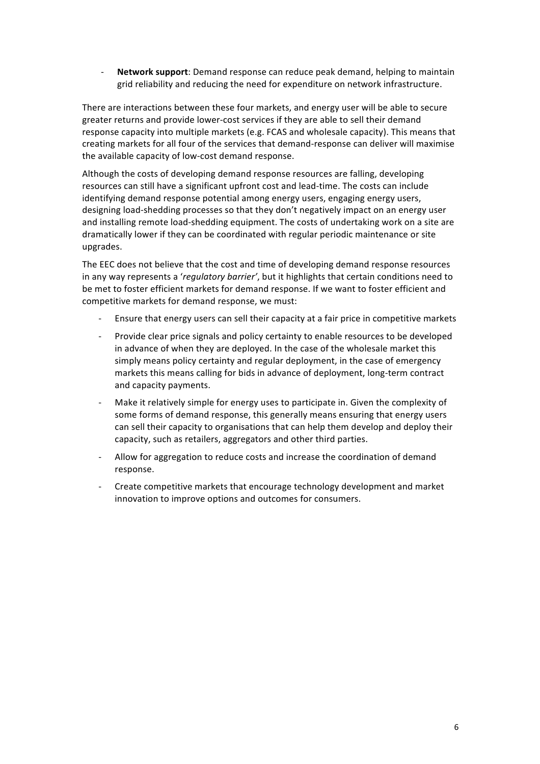Network support: Demand response can reduce peak demand, helping to maintain grid reliability and reducing the need for expenditure on network infrastructure.

There are interactions between these four markets, and energy user will be able to secure greater returns and provide lower-cost services if they are able to sell their demand response capacity into multiple markets (e.g. FCAS and wholesale capacity). This means that creating markets for all four of the services that demand-response can deliver will maximise the available capacity of low-cost demand response.

Although the costs of developing demand response resources are falling, developing resources can still have a significant upfront cost and lead-time. The costs can include identifying demand response potential among energy users, engaging energy users, designing load-shedding processes so that they don't negatively impact on an energy user and installing remote load-shedding equipment. The costs of undertaking work on a site are dramatically lower if they can be coordinated with regular periodic maintenance or site upgrades. 

The EEC does not believe that the cost and time of developing demand response resources in any way represents a *'regulatory barrier'*, but it highlights that certain conditions need to be met to foster efficient markets for demand response. If we want to foster efficient and competitive markets for demand response, we must:

- Ensure that energy users can sell their capacity at a fair price in competitive markets
- Provide clear price signals and policy certainty to enable resources to be developed in advance of when they are deployed. In the case of the wholesale market this simply means policy certainty and regular deployment, in the case of emergency markets this means calling for bids in advance of deployment, long-term contract and capacity payments.
- Make it relatively simple for energy uses to participate in. Given the complexity of some forms of demand response, this generally means ensuring that energy users can sell their capacity to organisations that can help them develop and deploy their capacity, such as retailers, aggregators and other third parties.
- Allow for aggregation to reduce costs and increase the coordination of demand response.
- Create competitive markets that encourage technology development and market innovation to improve options and outcomes for consumers.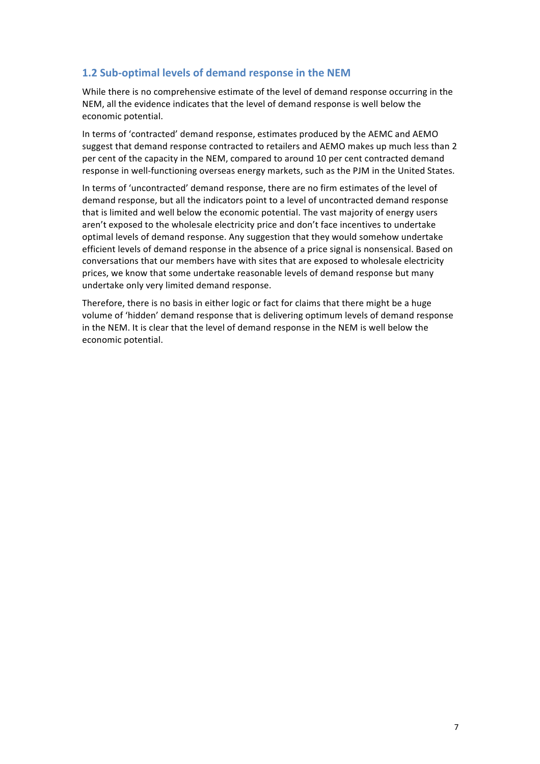### **1.2 Sub-optimal levels of demand response in the NEM**

While there is no comprehensive estimate of the level of demand response occurring in the NEM, all the evidence indicates that the level of demand response is well below the economic potential.

In terms of 'contracted' demand response, estimates produced by the AEMC and AEMO suggest that demand response contracted to retailers and AEMO makes up much less than 2 per cent of the capacity in the NEM, compared to around 10 per cent contracted demand response in well-functioning overseas energy markets, such as the PJM in the United States.

In terms of 'uncontracted' demand response, there are no firm estimates of the level of demand response, but all the indicators point to a level of uncontracted demand response that is limited and well below the economic potential. The vast majority of energy users aren't exposed to the wholesale electricity price and don't face incentives to undertake optimal levels of demand response. Any suggestion that they would somehow undertake efficient levels of demand response in the absence of a price signal is nonsensical. Based on conversations that our members have with sites that are exposed to wholesale electricity prices, we know that some undertake reasonable levels of demand response but many undertake only very limited demand response.

Therefore, there is no basis in either logic or fact for claims that there might be a huge volume of 'hidden' demand response that is delivering optimum levels of demand response in the NEM. It is clear that the level of demand response in the NEM is well below the economic potential.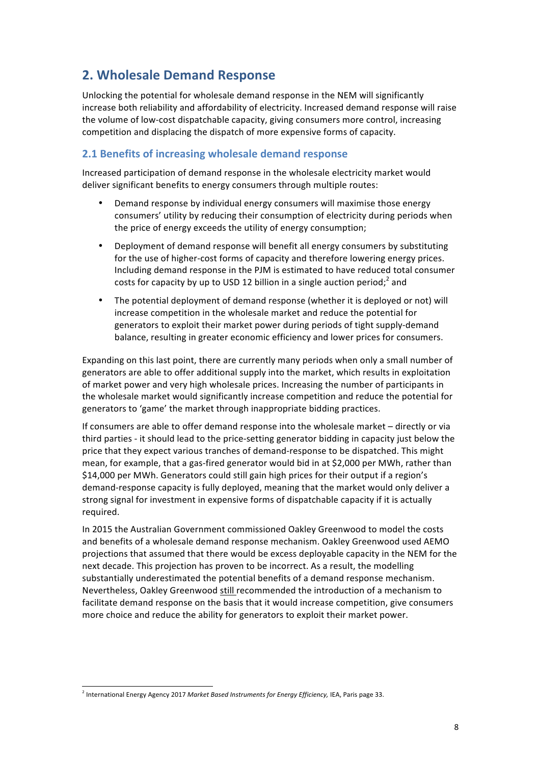# **2. Wholesale Demand Response**

Unlocking the potential for wholesale demand response in the NEM will significantly increase both reliability and affordability of electricity. Increased demand response will raise the volume of low-cost dispatchable capacity, giving consumers more control, increasing competition and displacing the dispatch of more expensive forms of capacity.

### **2.1 Benefits of increasing wholesale demand response**

Increased participation of demand response in the wholesale electricity market would deliver significant benefits to energy consumers through multiple routes:

- Demand response by individual energy consumers will maximise those energy consumers' utility by reducing their consumption of electricity during periods when the price of energy exceeds the utility of energy consumption;
- Deployment of demand response will benefit all energy consumers by substituting for the use of higher-cost forms of capacity and therefore lowering energy prices. Including demand response in the PJM is estimated to have reduced total consumer costs for capacity by up to USD 12 billion in a single auction period;<sup>2</sup> and
- The potential deployment of demand response (whether it is deployed or not) will increase competition in the wholesale market and reduce the potential for generators to exploit their market power during periods of tight supply-demand balance, resulting in greater economic efficiency and lower prices for consumers.

Expanding on this last point, there are currently many periods when only a small number of generators are able to offer additional supply into the market, which results in exploitation of market power and very high wholesale prices. Increasing the number of participants in the wholesale market would significantly increase competition and reduce the potential for generators to 'game' the market through inappropriate bidding practices.

If consumers are able to offer demand response into the wholesale market – directly or via third parties - it should lead to the price-setting generator bidding in capacity just below the price that they expect various tranches of demand-response to be dispatched. This might mean, for example, that a gas-fired generator would bid in at \$2,000 per MWh, rather than \$14,000 per MWh. Generators could still gain high prices for their output if a region's demand-response capacity is fully deployed, meaning that the market would only deliver a strong signal for investment in expensive forms of dispatchable capacity if it is actually required.

In 2015 the Australian Government commissioned Oakley Greenwood to model the costs and benefits of a wholesale demand response mechanism. Oakley Greenwood used AEMO projections that assumed that there would be excess deployable capacity in the NEM for the next decade. This projection has proven to be incorrect. As a result, the modelling substantially underestimated the potential benefits of a demand response mechanism. Nevertheless, Oakley Greenwood still recommended the introduction of a mechanism to facilitate demand response on the basis that it would increase competition, give consumers more choice and reduce the ability for generators to exploit their market power.

l

<sup>&</sup>lt;sup>2</sup> International Energy Agency 2017 Market Based Instruments for Energy Efficiency, IEA, Paris page 33.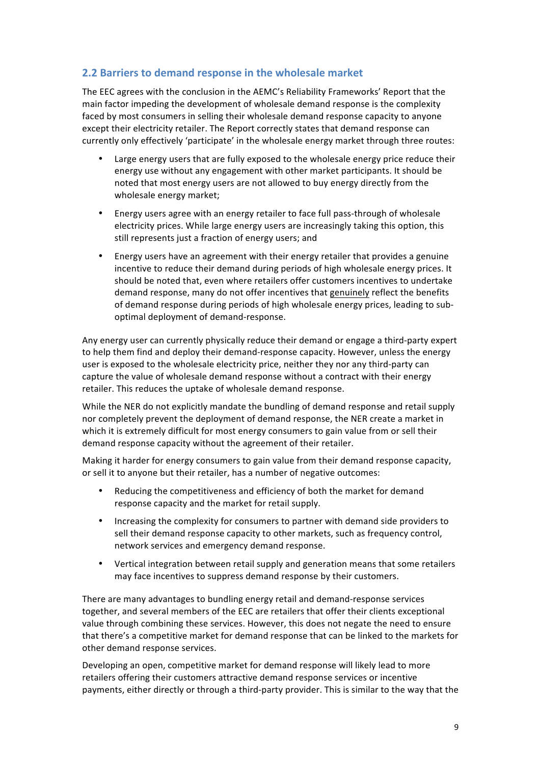#### **2.2 Barriers to demand response in the wholesale market**

The EEC agrees with the conclusion in the AEMC's Reliability Frameworks' Report that the main factor impeding the development of wholesale demand response is the complexity faced by most consumers in selling their wholesale demand response capacity to anyone except their electricity retailer. The Report correctly states that demand response can currently only effectively 'participate' in the wholesale energy market through three routes:

- Large energy users that are fully exposed to the wholesale energy price reduce their energy use without any engagement with other market participants. It should be noted that most energy users are not allowed to buy energy directly from the wholesale energy market;
- Energy users agree with an energy retailer to face full pass-through of wholesale electricity prices. While large energy users are increasingly taking this option, this still represents just a fraction of energy users; and
- Energy users have an agreement with their energy retailer that provides a genuine incentive to reduce their demand during periods of high wholesale energy prices. It should be noted that, even where retailers offer customers incentives to undertake demand response, many do not offer incentives that genuinely reflect the benefits of demand response during periods of high wholesale energy prices, leading to suboptimal deployment of demand-response.

Any energy user can currently physically reduce their demand or engage a third-party expert to help them find and deploy their demand-response capacity. However, unless the energy user is exposed to the wholesale electricity price, neither they nor any third-party can capture the value of wholesale demand response without a contract with their energy retailer. This reduces the uptake of wholesale demand response.

While the NER do not explicitly mandate the bundling of demand response and retail supply nor completely prevent the deployment of demand response, the NER create a market in which it is extremely difficult for most energy consumers to gain value from or sell their demand response capacity without the agreement of their retailer.

Making it harder for energy consumers to gain value from their demand response capacity, or sell it to anyone but their retailer, has a number of negative outcomes:

- Reducing the competitiveness and efficiency of both the market for demand response capacity and the market for retail supply.
- Increasing the complexity for consumers to partner with demand side providers to sell their demand response capacity to other markets, such as frequency control, network services and emergency demand response.
- Vertical integration between retail supply and generation means that some retailers may face incentives to suppress demand response by their customers.

There are many advantages to bundling energy retail and demand-response services together, and several members of the EEC are retailers that offer their clients exceptional value through combining these services. However, this does not negate the need to ensure that there's a competitive market for demand response that can be linked to the markets for other demand response services.

Developing an open, competitive market for demand response will likely lead to more retailers offering their customers attractive demand response services or incentive payments, either directly or through a third-party provider. This is similar to the way that the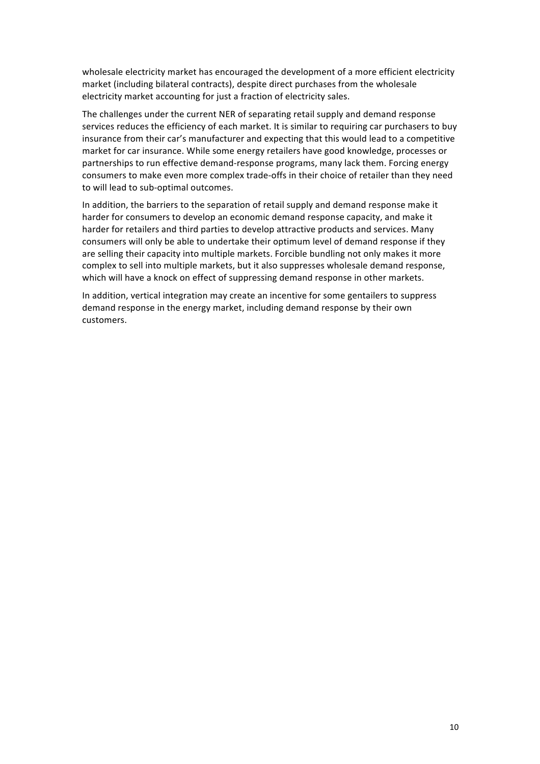wholesale electricity market has encouraged the development of a more efficient electricity market (including bilateral contracts), despite direct purchases from the wholesale electricity market accounting for just a fraction of electricity sales.

The challenges under the current NER of separating retail supply and demand response services reduces the efficiency of each market. It is similar to requiring car purchasers to buy insurance from their car's manufacturer and expecting that this would lead to a competitive market for car insurance. While some energy retailers have good knowledge, processes or partnerships to run effective demand-response programs, many lack them. Forcing energy consumers to make even more complex trade-offs in their choice of retailer than they need to will lead to sub-optimal outcomes.

In addition, the barriers to the separation of retail supply and demand response make it harder for consumers to develop an economic demand response capacity, and make it harder for retailers and third parties to develop attractive products and services. Many consumers will only be able to undertake their optimum level of demand response if they are selling their capacity into multiple markets. Forcible bundling not only makes it more complex to sell into multiple markets, but it also suppresses wholesale demand response, which will have a knock on effect of suppressing demand response in other markets.

In addition, vertical integration may create an incentive for some gentailers to suppress demand response in the energy market, including demand response by their own customers.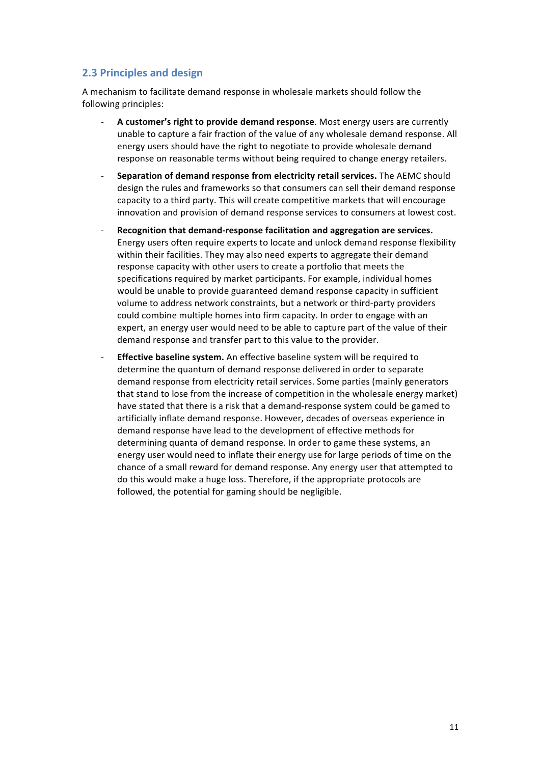### **2.3 Principles and design**

A mechanism to facilitate demand response in wholesale markets should follow the following principles:

- A customer's right to provide demand response. Most energy users are currently unable to capture a fair fraction of the value of any wholesale demand response. All energy users should have the right to negotiate to provide wholesale demand response on reasonable terms without being required to change energy retailers.
- **Separation of demand response from electricity retail services.** The AEMC should design the rules and frameworks so that consumers can sell their demand response capacity to a third party. This will create competitive markets that will encourage innovation and provision of demand response services to consumers at lowest cost.
- Recognition that demand-response facilitation and aggregation are services. Energy users often require experts to locate and unlock demand response flexibility within their facilities. They may also need experts to aggregate their demand response capacity with other users to create a portfolio that meets the specifications required by market participants. For example, individual homes would be unable to provide guaranteed demand response capacity in sufficient volume to address network constraints, but a network or third-party providers could combine multiple homes into firm capacity. In order to engage with an expert, an energy user would need to be able to capture part of the value of their demand response and transfer part to this value to the provider.
- **Effective baseline system.** An effective baseline system will be required to determine the quantum of demand response delivered in order to separate demand response from electricity retail services. Some parties (mainly generators that stand to lose from the increase of competition in the wholesale energy market) have stated that there is a risk that a demand-response system could be gamed to artificially inflate demand response. However, decades of overseas experience in demand response have lead to the development of effective methods for determining quanta of demand response. In order to game these systems, an energy user would need to inflate their energy use for large periods of time on the chance of a small reward for demand response. Any energy user that attempted to do this would make a huge loss. Therefore, if the appropriate protocols are followed, the potential for gaming should be negligible.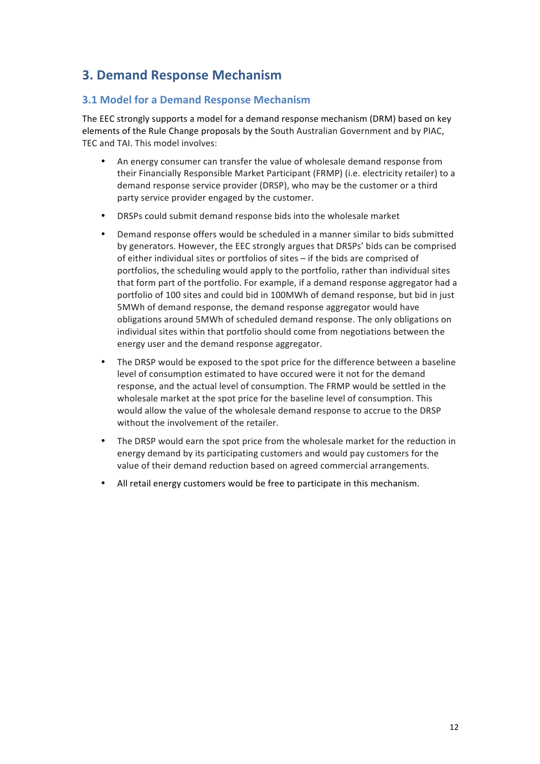# **3. Demand Response Mechanism**

### **3.1 Model for a Demand Response Mechanism**

The EEC strongly supports a model for a demand response mechanism (DRM) based on key elements of the Rule Change proposals by the South Australian Government and by PIAC, TEC and TAI. This model involves:

- An energy consumer can transfer the value of wholesale demand response from their Financially Responsible Market Participant (FRMP) (i.e. electricity retailer) to a demand response service provider (DRSP), who may be the customer or a third party service provider engaged by the customer.
- DRSPs could submit demand response bids into the wholesale market
- Demand response offers would be scheduled in a manner similar to bids submitted by generators. However, the EEC strongly argues that DRSPs' bids can be comprised of either individual sites or portfolios of sites  $-$  if the bids are comprised of portfolios, the scheduling would apply to the portfolio, rather than individual sites that form part of the portfolio. For example, if a demand response aggregator had a portfolio of 100 sites and could bid in 100MWh of demand response, but bid in just 5MWh of demand response, the demand response aggregator would have obligations around 5MWh of scheduled demand response. The only obligations on individual sites within that portfolio should come from negotiations between the energy user and the demand response aggregator.
- The DRSP would be exposed to the spot price for the difference between a baseline level of consumption estimated to have occured were it not for the demand response, and the actual level of consumption. The FRMP would be settled in the wholesale market at the spot price for the baseline level of consumption. This would allow the value of the wholesale demand response to accrue to the DRSP without the involvement of the retailer.
- The DRSP would earn the spot price from the wholesale market for the reduction in energy demand by its participating customers and would pay customers for the value of their demand reduction based on agreed commercial arrangements.
- All retail energy customers would be free to participate in this mechanism.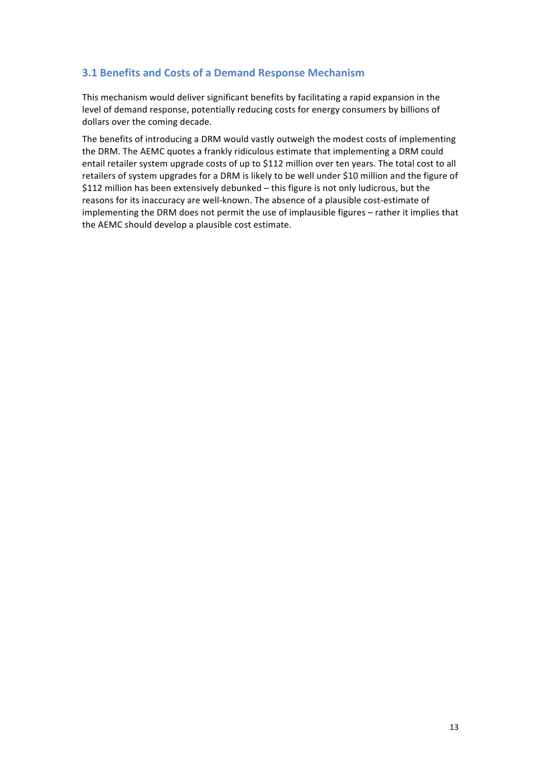### **3.1 Benefits and Costs of a Demand Response Mechanism**

This mechanism would deliver significant benefits by facilitating a rapid expansion in the level of demand response, potentially reducing costs for energy consumers by billions of dollars over the coming decade.

The benefits of introducing a DRM would vastly outweigh the modest costs of implementing the DRM. The AEMC quotes a frankly ridiculous estimate that implementing a DRM could entail retailer system upgrade costs of up to \$112 million over ten years. The total cost to all retailers of system upgrades for a DRM is likely to be well under \$10 million and the figure of \$112 million has been extensively debunked – this figure is not only ludicrous, but the reasons for its inaccuracy are well-known. The absence of a plausible cost-estimate of implementing the DRM does not permit the use of implausible figures - rather it implies that the AEMC should develop a plausible cost estimate.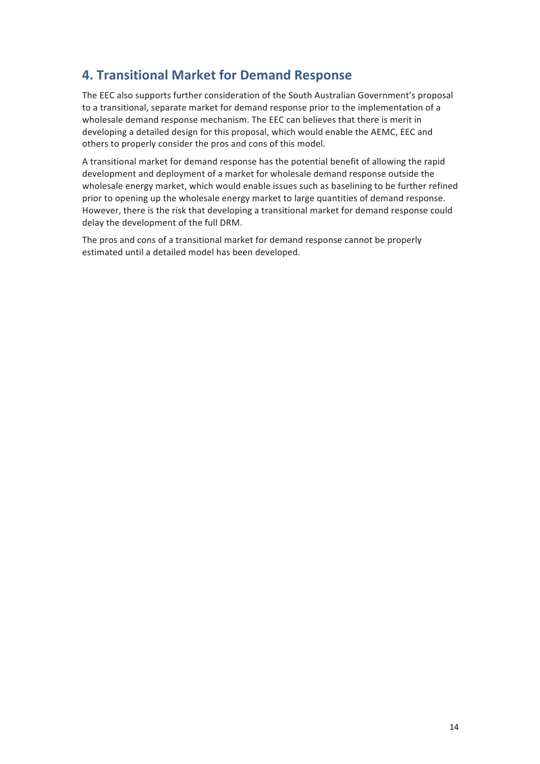# **4. Transitional Market for Demand Response**

The EEC also supports further consideration of the South Australian Government's proposal to a transitional, separate market for demand response prior to the implementation of a wholesale demand response mechanism. The EEC can believes that there is merit in developing a detailed design for this proposal, which would enable the AEMC, EEC and others to properly consider the pros and cons of this model.

A transitional market for demand response has the potential benefit of allowing the rapid development and deployment of a market for wholesale demand response outside the wholesale energy market, which would enable issues such as baselining to be further refined prior to opening up the wholesale energy market to large quantities of demand response. However, there is the risk that developing a transitional market for demand response could delay the development of the full DRM.

The pros and cons of a transitional market for demand response cannot be properly estimated until a detailed model has been developed.